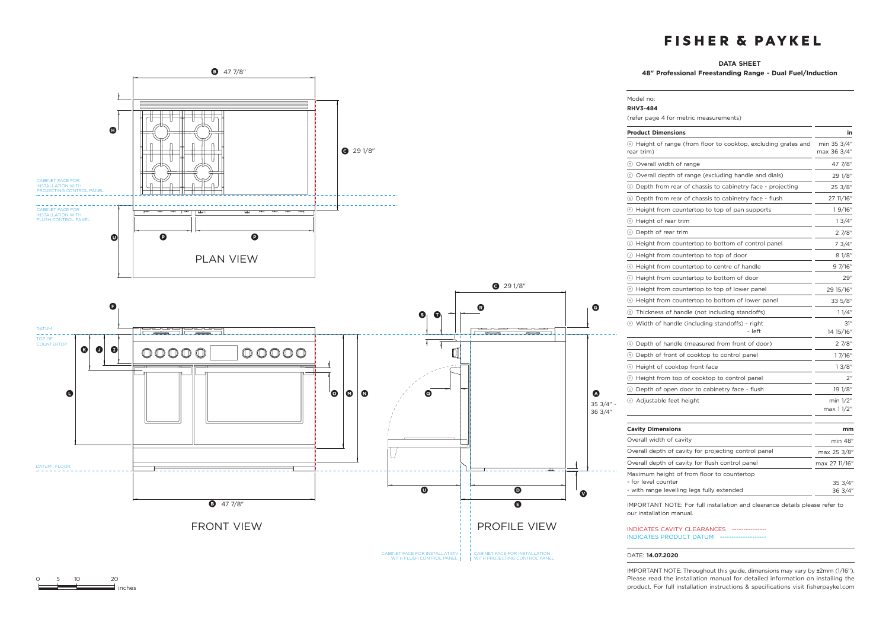#### **DATA SHEET**

Model no:

**48" Professional Freestanding Range - Dual Fuel/Induction**



| <b>Product Dimensions</b>                                                                                       | in                         |
|-----------------------------------------------------------------------------------------------------------------|----------------------------|
| (A) Height of range (from floor to cooktop, excluding grates and<br>rear trim)                                  | min 35 3/4"<br>max 36 3/4" |
| 8 Overall width of range                                                                                        | 47 7/8"                    |
| © Overall depth of range (excluding handle and dials)                                                           | 29 1/8"                    |
| 10 Depth from rear of chassis to cabinetry face - projecting                                                    | 25 3/8″                    |
| Depth from rear of chassis to cabinetry face - flush                                                            | 27 11/16"                  |
| $\odot$ Height from countertop to top of pan supports                                                           | 19/16"                     |
| ⑤ Height of rear trim                                                                                           | 13/4"                      |
| (h) Depth of rear trim                                                                                          | 27/8"                      |
| 1) Height from countertop to bottom of control panel                                                            | 7 3/4"                     |
| 10 Height from countertop to top of door                                                                        | 81/8"                      |
| 6 Height from countertop to centre of handle                                                                    | 9 7/16"                    |
| $\circlearrowright$ Height from countertop to bottom of door                                                    | 29"                        |
| (b) Height from countertop to top of lower panel                                                                | 29 15/16"                  |
| (v) Height from countertop to bottom of lower panel                                                             | 33 5/8"                    |
| 15 Thickness of handle (not including standoffs)                                                                | 11/4"                      |
| <b>E</b> Width of handle (including standoffs) - right<br>- left                                                | 31″<br>14 15/16"           |
| 5 Depth of handle (measured from front of door)                                                                 | 2 7/8"                     |
| (R) Depth of front of cooktop to control panel                                                                  | 1 7/16"                    |
| S Height of cooktop front face                                                                                  | 13/8"                      |
| 1 Height from top of cooktop to control panel                                                                   | 2"                         |
| (v) Depth of open door to cabinetry face - flush                                                                | 19 1/8"                    |
| ⊙ Adjustable feet height                                                                                        | min 1/2"<br>max 1 1/2"     |
| <b>Cavity Dimensions</b>                                                                                        | mm                         |
| Overall width of cavity                                                                                         | min 48"                    |
| Overall depth of cavity for projecting control panel                                                            | max 25 3/8"                |
| Overall depth of cavity for flush control panel                                                                 | max 27 11/16"              |
| Maximum height of from floor to countertop<br>- for level counter<br>- with range levelling legs fully extended | 35 3/4"<br>36 3/4"         |

INDICATES CAVITY CLEARANCES ---------------

INDICATES PRODUCT DATUM --

### DATE: **14.07.2020**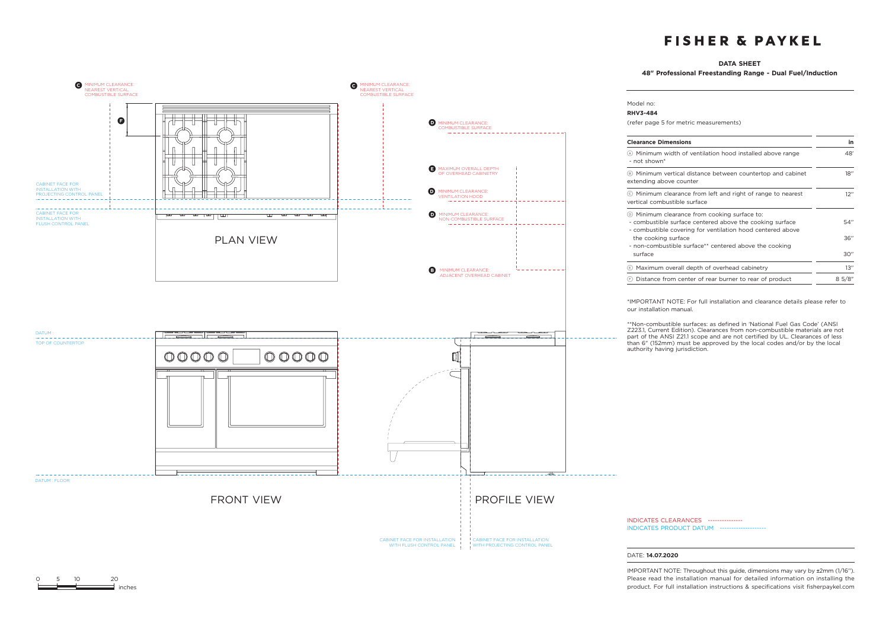### **DATA SHEET**

**48" Professional Freestanding Range - Dual Fuel/Induction** 



0 5 10 20

 $\equiv$  inches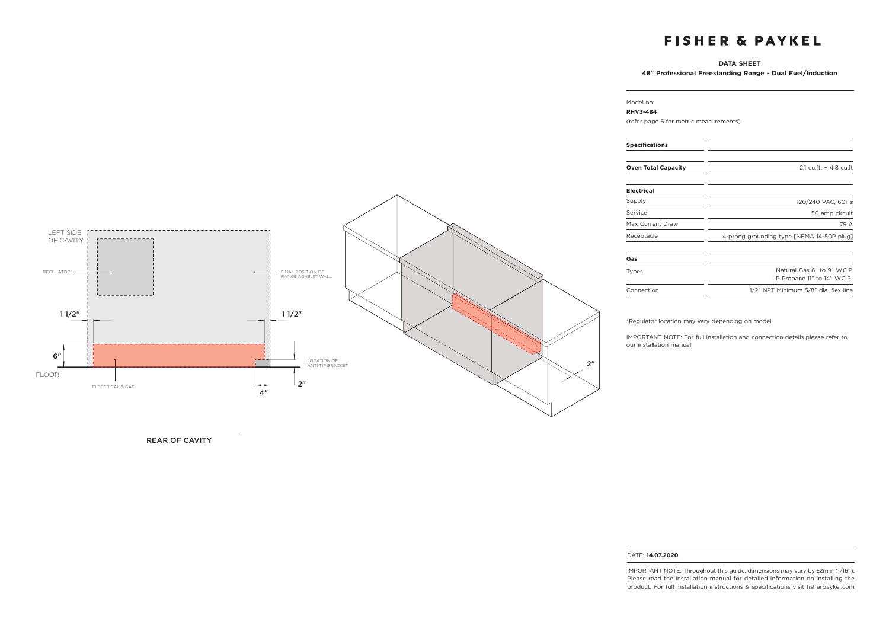### **DATA SHEET**

**48" Professional Freestanding Range - Dual Fuel/Induction**

## LEFT SIDE OF CAVITY REGULATOR\* FINAL POSITION OF RANGE AGAINST WALL <u> 1. . . . . . . . . . . . . .</u>  $11/2$ " is a set of the set of the set of the set of the set of the set of the set of the set of the set of the set of the set of the set of the set of the set of the set of the set of the set of the set of the set of the 6" ГT - 1 2"LOCATION OF ANTI-TIP BRACKET FLOOR  $2"$ سيمين المتوقف ELECTRICAL & GAS 4"

REAR OF CAVITY

#### Model no: **RHV3-484**

(refer page 6 for metric measurements)

| <b>Specifications</b>      |                                                            |
|----------------------------|------------------------------------------------------------|
| <b>Oven Total Capacity</b> | 2.1 cu.ft. + 4.8 cu.ft                                     |
| Electrical                 |                                                            |
| Supply                     | 120/240 VAC, 60Hz                                          |
| Service                    | 50 amp circuit                                             |
| Max Current Draw           | 75 A                                                       |
| Receptacle                 | 4-prong grounding type [NEMA 14-50P plug]                  |
| Gas                        |                                                            |
| Types                      | Natural Gas 6" to 9" W.C.P.<br>LP Propane 11" to 14" W.C.P |
| Connection                 | 1/2" NPT Minimum 5/8" dia. flex line                       |

\*Regulator location may vary depending on model.

IMPORTANT NOTE: For full installation and connection details please refer to our installation manual.

#### DATE: **14.07.2020**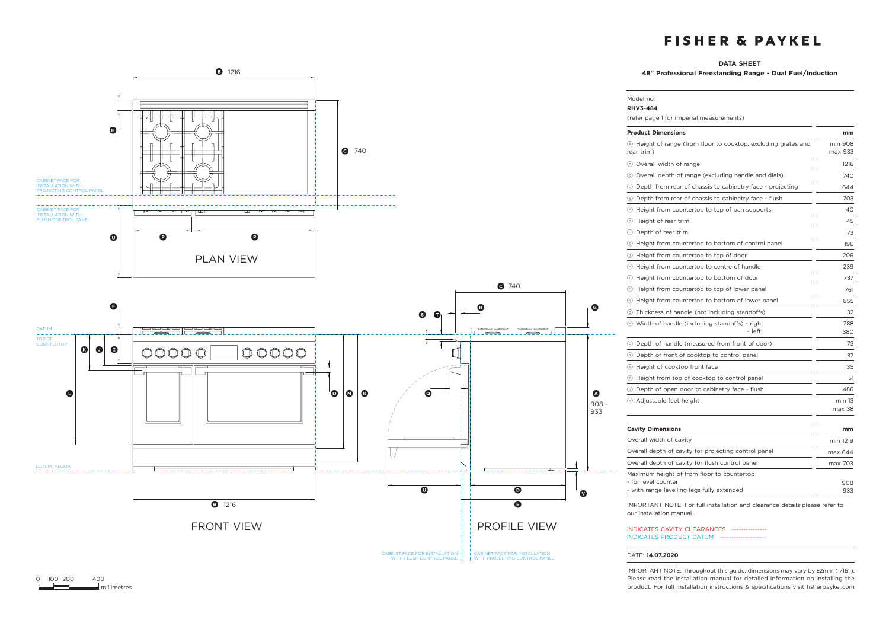#### **DATA SHEET**

Model no:

**48" Professional Freestanding Range - Dual Fuel/Induction**



| <b>RHV3-484</b><br>(refer page 1 for imperial measurements)                                                     |                    |  |
|-----------------------------------------------------------------------------------------------------------------|--------------------|--|
| <b>Product Dimensions</b>                                                                                       | mm                 |  |
| 4 Height of range (from floor to cooktop, excluding grates and<br>rear trim)                                    | min 908<br>max 933 |  |
| (B) Overall width of range                                                                                      | 1216               |  |
| © Overall depth of range (excluding handle and dials)                                                           | 740                |  |
| (b) Depth from rear of chassis to cabinetry face - projecting                                                   | 644                |  |
| Depth from rear of chassis to cabinetry face - flush                                                            | 703                |  |
| (E) Height from countertop to top of pan supports                                                               | 40                 |  |
| (6) Height of rear trim                                                                                         | 45                 |  |
| (h) Depth of rear trim                                                                                          | 73                 |  |
| (1) Height from countertop to bottom of control panel                                                           | 196                |  |
| $\circlearrowleft$ Height from countertop to top of door                                                        | 206                |  |
| (6) Height from countertop to centre of handle                                                                  | 239                |  |
| 10 Height from countertop to bottom of door                                                                     | 737                |  |
| (•) Height from countertop to top of lower panel                                                                | 761                |  |
| $\mathbb{R}$ Height from countertop to bottom of lower panel                                                    | 855                |  |
| 15 Thickness of handle (not including standoffs)                                                                | 32                 |  |
| <b>E</b> Width of handle (including standoffs) - right<br>- left                                                | 788<br>380         |  |
| (c) Depth of handle (measured from front of door)                                                               | 73                 |  |
| ® Depth of front of cooktop to control panel                                                                    | 37                 |  |
| (s) Height of cooktop front face                                                                                | 35                 |  |
| 1 Height from top of cooktop to control panel                                                                   | 51                 |  |
| 10 Depth of open door to cabinetry face - flush                                                                 | 486                |  |
| ⊙ Adjustable feet height                                                                                        | min 13<br>max 38   |  |
| <b>Cavity Dimensions</b>                                                                                        | mm                 |  |
| Overall width of cavity                                                                                         | min 1219           |  |
| Overall depth of cavity for projecting control panel                                                            | max 644            |  |
| Overall depth of cavity for flush control panel                                                                 | max 703            |  |
| Maximum height of from floor to countertop<br>- for level counter<br>- with range levelling legs fully extended | 908<br>933         |  |

IMPORTANT NOTE: For full installation and clearance details please refer to our installation manual.

INDICATES CAVITY CLEARANCES --------------- INDICATES PRODUCT DATUM --

#### DATE: **14.07.2020**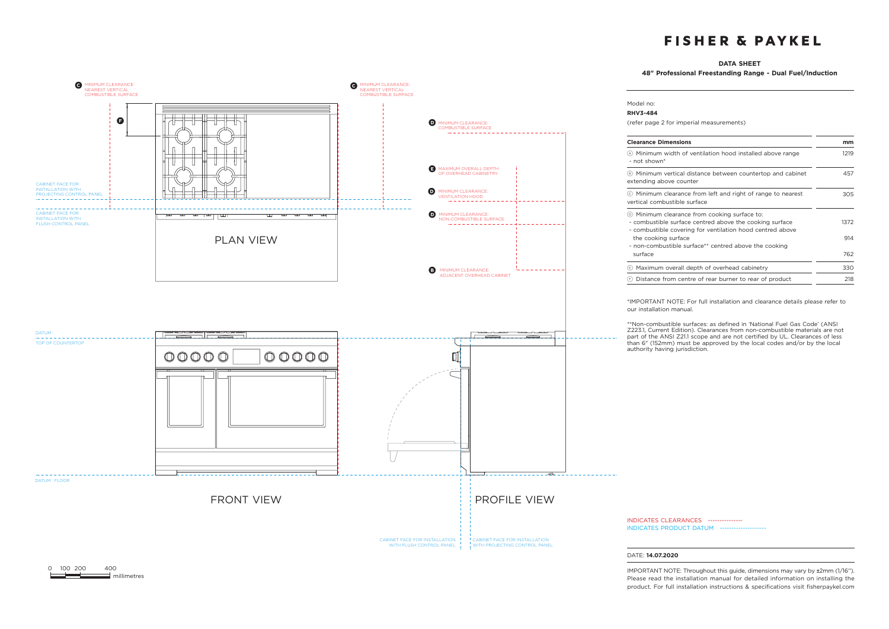### **DATA SHEET**

**48" Professional Freestanding Range - Dual Fuel/Induction**



 $\equiv$  millimetres